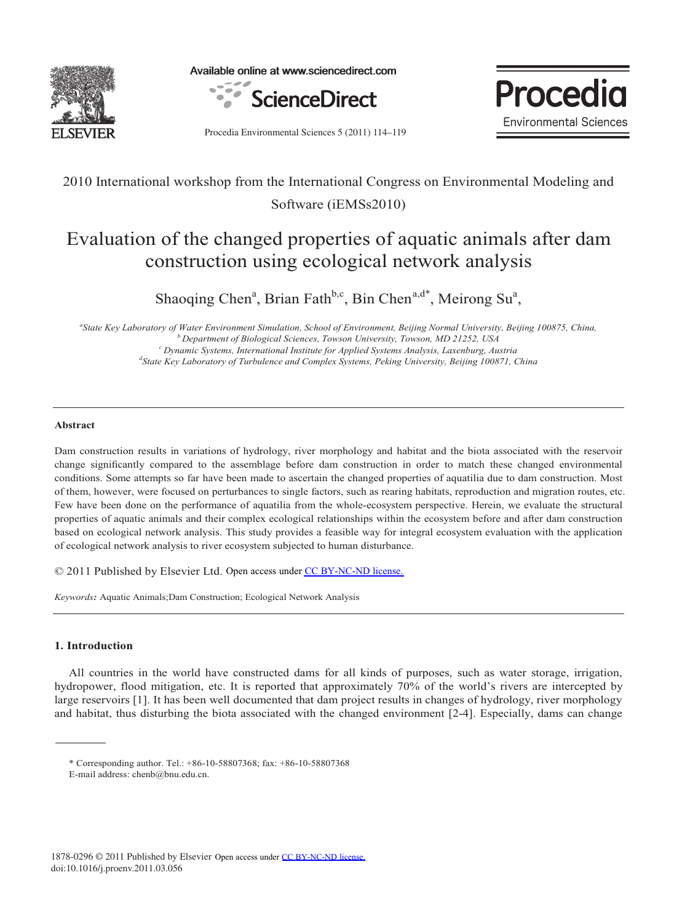

Available online at www.sciencedirect.com





Procedia Environmental Sciences 5 (2011) 114-119

## 2010 International workshop from the International Congress on Environmental Modeling and Software (iEMSs2010)

# Evaluation of the changed properties of aquatic animals after dam construction using ecological network analysis

Shaoqing Chen<sup>a</sup>, Brian Fath<sup>b,c</sup>, Bin Chen<sup>a,d\*</sup>, Meirong Su<sup>a</sup>,

*a State Key Laboratory of Water Environment Simulation, School of Environment, Beijing Normal University, Beijing 100875, China, <sup>b</sup> Department of Biological Sciences, Towson University, Towson, MD 21252, USA c Dynamic Systems, International Institute for Applied Systems Analysis, Laxenburg, Austria d State Key Laboratory of Turbulence and Complex Systems, Peking University, Beijing 100871, China*

#### **Abstract**

Dam construction results in variations of hydrology, river morphology and habitat and the biota associated with the reservoir change significantly compared to the assemblage before dam construction in order to match these changed environmental conditions. Some attempts so far have been made to ascertain the changed properties of aquatilia due to dam construction. Most of them, however, were focused on perturbances to single factors, such as rearing habitats, reproduction and migration routes, etc. Few have been done on the performance of aquatilia from the whole-ecosystem perspective. Herein, we evaluate the structural properties of aquatic animals and their complex ecological relationships within the ecosystem before and after dam construction based on ecological network analysis. This study provides a feasible way for integral ecosystem evaluation with the application of ecological network analysis to river ecosystem subjected to human disturbance.

© 2011 Published by Elsevier Ltd. Open access under [CC BY-NC-ND license.](http://creativecommons.org/licenses/by-nc-nd/3.0/)

*Keywords:* Aquatic Animals;Dam Construction; Ecological Network Analysis

### **1. Introduction**

All countries in the world have constructed dams for all kinds of purposes, such as water storage, irrigation, hydropower, flood mitigation, etc. It is reported that approximately 70% of the world's rivers are intercepted by large reservoirs [1]. It has been well documented that dam project results in changes of hydrology, river morphology and habitat, thus disturbing the biota associated with the changed environment [2-4]. Especially, dams can change

<sup>\*</sup> Corresponding author. Tel.: +86-10-58807368; fax: +86-10-58807368

E-mail address: chenb@bnu.edu.cn.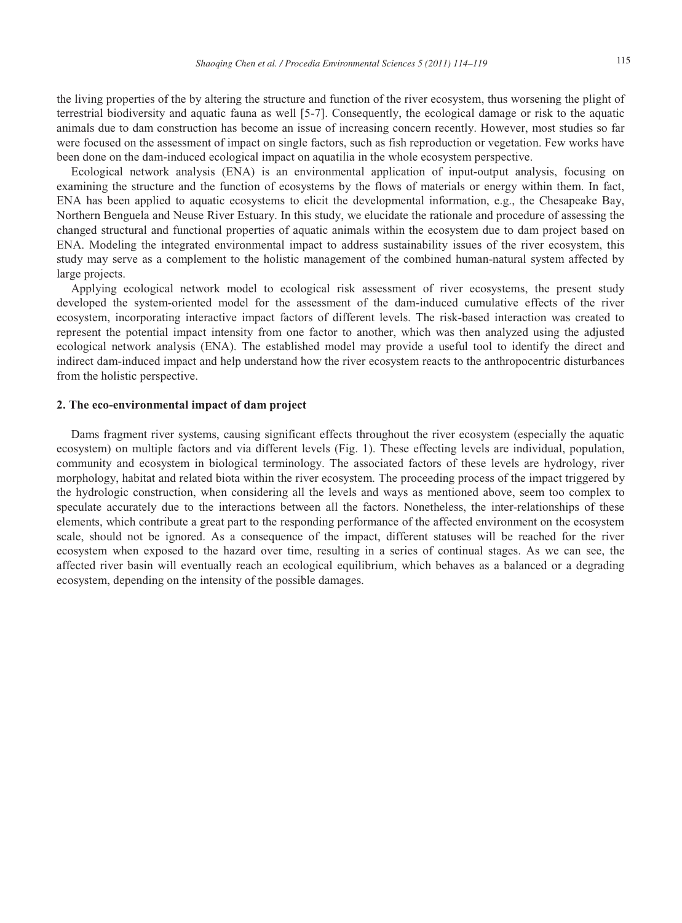the living properties of the by altering the structure and function of the river ecosystem, thus worsening the plight of terrestrial biodiversity and aquatic fauna as well [5-7]. Consequently, the ecological damage or risk to the aquatic animals due to dam construction has become an issue of increasing concern recently. However, most studies so far were focused on the assessment of impact on single factors, such as fish reproduction or vegetation. Few works have been done on the dam-induced ecological impact on aquatilia in the whole ecosystem perspective.

Ecological network analysis (ENA) is an environmental application of input-output analysis, focusing on examining the structure and the function of ecosystems by the flows of materials or energy within them. In fact, ENA has been applied to aquatic ecosystems to elicit the developmental information, e.g., the Chesapeake Bay, Northern Benguela and Neuse River Estuary. In this study, we elucidate the rationale and procedure of assessing the changed structural and functional properties of aquatic animals within the ecosystem due to dam project based on ENA. Modeling the integrated environmental impact to address sustainability issues of the river ecosystem, this study may serve as a complement to the holistic management of the combined human-natural system affected by large projects.

Applying ecological network model to ecological risk assessment of river ecosystems, the present study developed the system-oriented model for the assessment of the dam-induced cumulative effects of the river ecosystem, incorporating interactive impact factors of different levels. The risk-based interaction was created to represent the potential impact intensity from one factor to another, which was then analyzed using the adjusted ecological network analysis (ENA). The established model may provide a useful tool to identify the direct and indirect dam-induced impact and help understand how the river ecosystem reacts to the anthropocentric disturbances from the holistic perspective.

#### **2. The eco-environmental impact of dam project**

Dams fragment river systems, causing significant effects throughout the river ecosystem (especially the aquatic ecosystem) on multiple factors and via different levels (Fig. 1). These effecting levels are individual, population, community and ecosystem in biological terminology. The associated factors of these levels are hydrology, river morphology, habitat and related biota within the river ecosystem. The proceeding process of the impact triggered by the hydrologic construction, when considering all the levels and ways as mentioned above, seem too complex to speculate accurately due to the interactions between all the factors. Nonetheless, the inter-relationships of these elements, which contribute a great part to the responding performance of the affected environment on the ecosystem scale, should not be ignored. As a consequence of the impact, different statuses will be reached for the river ecosystem when exposed to the hazard over time, resulting in a series of continual stages. As we can see, the affected river basin will eventually reach an ecological equilibrium, which behaves as a balanced or a degrading ecosystem, depending on the intensity of the possible damages.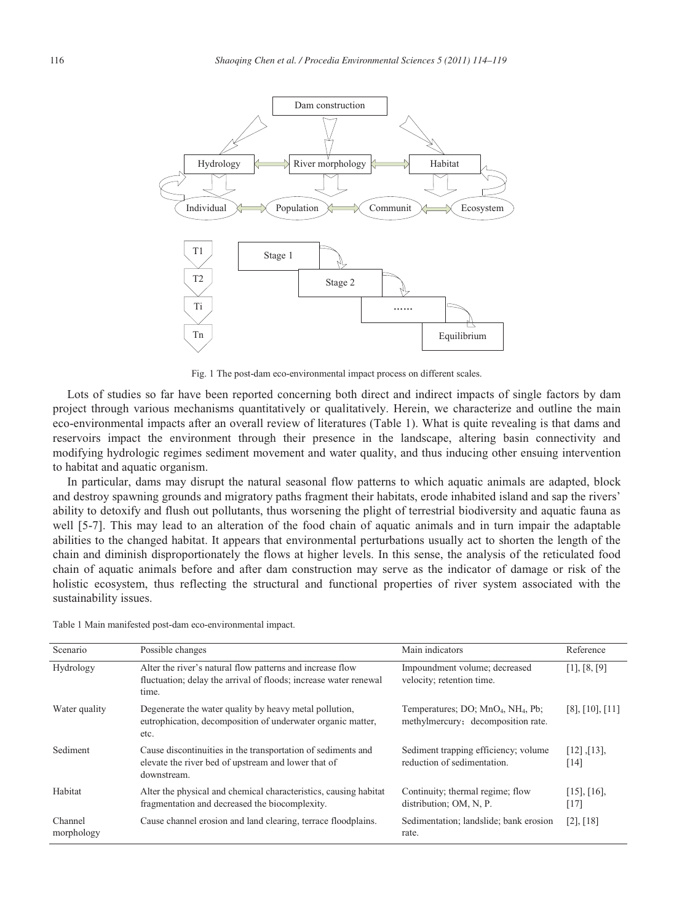

Fig. 1 The post-dam eco-environmental impact process on different scales.

Lots of studies so far have been reported concerning both direct and indirect impacts of single factors by dam project through various mechanisms quantitatively or qualitatively. Herein, we characterize and outline the main eco-environmental impacts after an overall review of literatures (Table 1). What is quite revealing is that dams and reservoirs impact the environment through their presence in the landscape, altering basin connectivity and modifying hydrologic regimes sediment movement and water quality, and thus inducing other ensuing intervention to habitat and aquatic organism.

In particular, dams may disrupt the natural seasonal flow patterns to which aquatic animals are adapted, block and destroy spawning grounds and migratory paths fragment their habitats, erode inhabited island and sap the rivers' ability to detoxify and flush out pollutants, thus worsening the plight of terrestrial biodiversity and aquatic fauna as well [5-7]. This may lead to an alteration of the food chain of aquatic animals and in turn impair the adaptable abilities to the changed habitat. It appears that environmental perturbations usually act to shorten the length of the chain and diminish disproportionately the flows at higher levels. In this sense, the analysis of the reticulated food chain of aquatic animals before and after dam construction may serve as the indicator of damage or risk of the holistic ecosystem, thus reflecting the structural and functional properties of river system associated with the sustainability issues.

| Scenario              | Possible changes                                                                                                                       | Main indicators                                                                                  | Reference                   |
|-----------------------|----------------------------------------------------------------------------------------------------------------------------------------|--------------------------------------------------------------------------------------------------|-----------------------------|
| Hydrology             | Alter the river's natural flow patterns and increase flow<br>fluctuation; delay the arrival of floods; increase water renewal<br>time. | Impoundment volume; decreased<br>velocity; retention time.                                       | $[1]$ , $[8, [9]$           |
| Water quality         | Degenerate the water quality by heavy metal pollution,<br>eutrophication, decomposition of underwater organic matter,<br>etc.          | Temperatures; DO; MnO <sub>4</sub> , NH <sub>4</sub> , Pb;<br>methylmercury; decomposition rate. | $[8]$ , $[10]$ , $[11]$     |
| Sediment              | Cause discontinuities in the transportation of sediments and<br>elevate the river bed of upstream and lower that of<br>downstream.     | Sediment trapping efficiency; volume<br>reduction of sedimentation.                              | $[12]$ , $[13]$ ,<br>[14]   |
| Habitat               | Alter the physical and chemical characteristics, causing habitat<br>fragmentation and decreased the biocomplexity.                     | Continuity; thermal regime; flow<br>distribution; OM, N, P.                                      | $[15]$ , $[16]$ ,<br>$[17]$ |
| Channel<br>morphology | Cause channel erosion and land clearing, terrace floodplains.                                                                          | Sedimentation; landslide; bank erosion<br>rate.                                                  | $[2]$ , $[18]$              |

Table 1 Main manifested post-dam eco-environmental impact.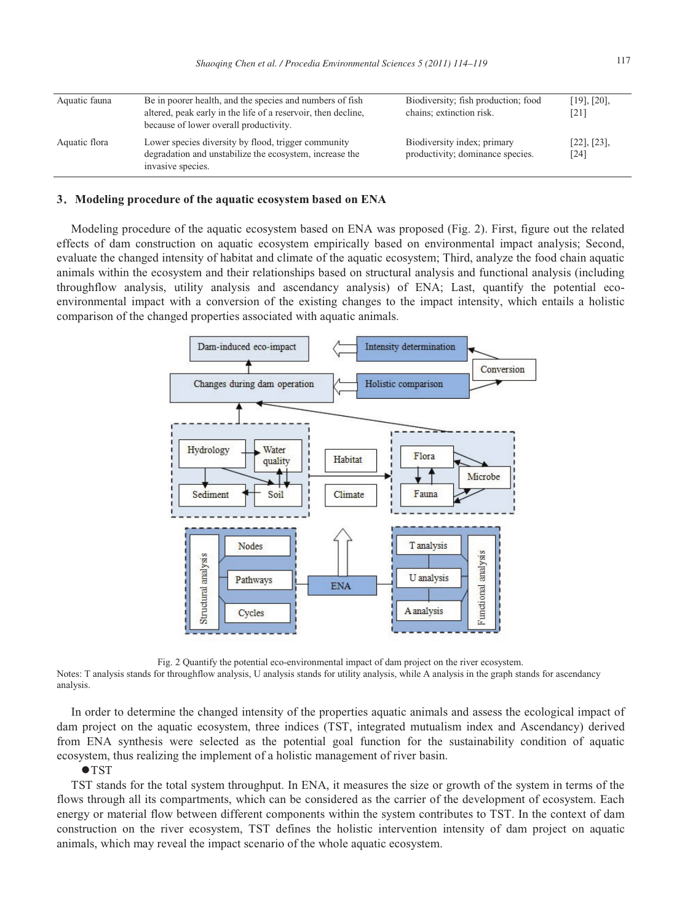| Aquatic fauna | Be in poorer health, and the species and numbers of fish<br>altered, peak early in the life of a reservoir, then decline,<br>because of lower overall productivity. | Biodiversity; fish production; food<br>chains; extinction risk. | $[19]$ , $[20]$ ,<br>[21] |
|---------------|---------------------------------------------------------------------------------------------------------------------------------------------------------------------|-----------------------------------------------------------------|---------------------------|
| Aquatic flora | Lower species diversity by flood, trigger community<br>degradation and unstabilize the ecosystem, increase the<br>invasive species.                                 | Biodiversity index; primary<br>productivity; dominance species. | $[22]$ , $[23]$ ,<br>[24] |

#### **3**ˊ**Modeling procedure of the aquatic ecosystem based on ENA**

Modeling procedure of the aquatic ecosystem based on ENA was proposed (Fig. 2). First, figure out the related effects of dam construction on aquatic ecosystem empirically based on environmental impact analysis; Second, evaluate the changed intensity of habitat and climate of the aquatic ecosystem; Third, analyze the food chain aquatic animals within the ecosystem and their relationships based on structural analysis and functional analysis (including throughflow analysis, utility analysis and ascendancy analysis) of ENA; Last, quantify the potential ecoenvironmental impact with a conversion of the existing changes to the impact intensity, which entails a holistic comparison of the changed properties associated with aquatic animals.



Fig. 2 Quantify the potential eco-environmental impact of dam project on the river ecosystem.

Notes: T analysis stands for throughflow analysis, U analysis stands for utility analysis, while A analysis in the graph stands for ascendancy analysis.

In order to determine the changed intensity of the properties aquatic animals and assess the ecological impact of dam project on the aquatic ecosystem, three indices (TST, integrated mutualism index and Ascendancy) derived from ENA synthesis were selected as the potential goal function for the sustainability condition of aquatic ecosystem, thus realizing the implement of a holistic management of river basin.

#### $\bullet$ TST

TST stands for the total system throughput. In ENA, it measures the size or growth of the system in terms of the flows through all its compartments, which can be considered as the carrier of the development of ecosystem. Each energy or material flow between different components within the system contributes to TST. In the context of dam construction on the river ecosystem, TST defines the holistic intervention intensity of dam project on aquatic animals, which may reveal the impact scenario of the whole aquatic ecosystem.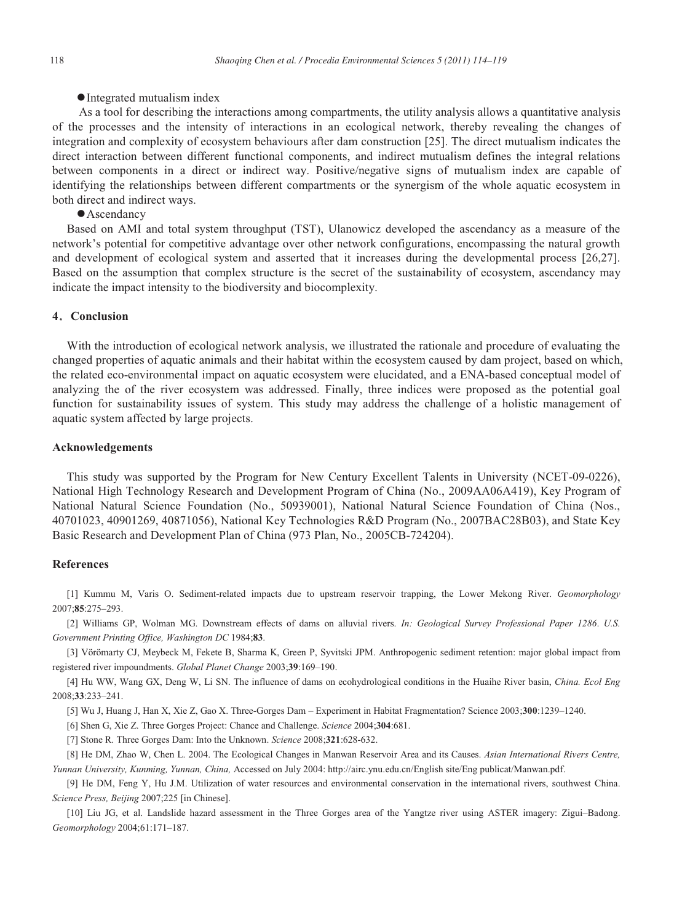#### • Integrated mutualism index

As a tool for describing the interactions among compartments, the utility analysis allows a quantitative analysis of the processes and the intensity of interactions in an ecological network, thereby revealing the changes of integration and complexity of ecosystem behaviours after dam construction [25]. The direct mutualism indicates the direct interaction between different functional components, and indirect mutualism defines the integral relations between components in a direct or indirect way. Positive/negative signs of mutualism index are capable of identifying the relationships between different compartments or the synergism of the whole aquatic ecosystem in both direct and indirect ways.

• Ascendancy

Based on AMI and total system throughput (TST), Ulanowicz developed the ascendancy as a measure of the network's potential for competitive advantage over other network configurations, encompassing the natural growth and development of ecological system and asserted that it increases during the developmental process [26,27]. Based on the assumption that complex structure is the secret of the sustainability of ecosystem, ascendancy may indicate the impact intensity to the biodiversity and biocomplexity.

#### **4**ˊ**Conclusion**

With the introduction of ecological network analysis, we illustrated the rationale and procedure of evaluating the changed properties of aquatic animals and their habitat within the ecosystem caused by dam project, based on which, the related eco-environmental impact on aquatic ecosystem were elucidated, and a ENA-based conceptual model of analyzing the of the river ecosystem was addressed. Finally, three indices were proposed as the potential goal function for sustainability issues of system. This study may address the challenge of a holistic management of aquatic system affected by large projects.

#### **Acknowledgements**

This study was supported by the Program for New Century Excellent Talents in University (NCET-09-0226), National High Technology Research and Development Program of China (No., 2009AA06A419), Key Program of National Natural Science Foundation (No., 50939001), National Natural Science Foundation of China (Nos., 40701023, 40901269, 40871056), National Key Technologies R&D Program (No., 2007BAC28B03), and State Key Basic Research and Development Plan of China (973 Plan, No., 2005CB-724204).

#### **References**

[1] Kummu M, Varis O. Sediment-related impacts due to upstream reservoir trapping, the Lower Mekong River. *Geomorphology* 2007;**85**:275–293.

[2] Williams GP, Wolman MG. Downstream effects of dams on alluvial rivers. *In: Geological Survey Professional Paper 1286*. *U.S. Government Printing Office, Washington DC* 1984;**83**.

[3] Vörömarty CJ, Meybeck M, Fekete B, Sharma K, Green P, Syvitski JPM. Anthropogenic sediment retention: major global impact from registered river impoundments. *Global Planet Change* 2003;**39**:169–190.

[4] Hu WW, Wang GX, Deng W, Li SN. The influence of dams on ecohydrological conditions in the Huaihe River basin, *China. Ecol Eng*  2008;**33**:233–241.

[5] Wu J, Huang J, Han X, Xie Z, Gao X. Three-Gorges Dam – Experiment in Habitat Fragmentation? Science 2003;**300**:1239–1240.

[6] Shen G, Xie Z. Three Gorges Project: Chance and Challenge. *Science* 2004;**304**:681.

[7] Stone R. Three Gorges Dam: Into the Unknown. *Science* 2008;**321**:628-632.

[8] He DM, Zhao W, Chen L. 2004. The Ecological Changes in Manwan Reservoir Area and its Causes. *Asian International Rivers Centre, Yunnan University, Kunming, Yunnan, China,* Accessed on July 2004: http://airc.ynu.edu.cn/English site/Eng publicat/Manwan.pdf.

[9] He DM, Feng Y, Hu J.M. Utilization of water resources and environmental conservation in the international rivers, southwest China. *Science Press, Beijing* 2007;225 [in Chinese].

[10] Liu JG, et al. Landslide hazard assessment in the Three Gorges area of the Yangtze river using ASTER imagery: Zigui–Badong. *Geomorphology* 2004;61:171–187.